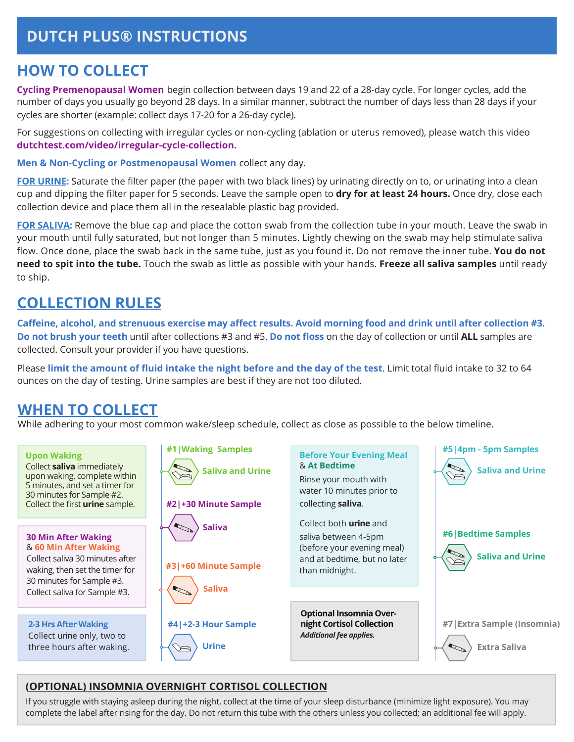# **DUTCH PLUS® INSTRUCTIONS**

### **HOW TO COLLECT**

**Cycling Premenopausal Women** begin collection between days 19 and 22 of a 28-day cycle. For longer cycles, add the number of days you usually go beyond 28 days. In a similar manner, subtract the number of days less than 28 days if your cycles are shorter (example: collect days 17-20 for a 26-day cycle).

For suggestions on collecting with irregular cycles or non-cycling (ablation or uterus removed), please watch this video **dutchtest.com/video/irregular-cycle-collection.**

**Men & Non-Cycling or Postmenopausal Women** collect any day.

**FOR URINE:** Saturate the filter paper (the paper with two black lines) by urinating directly on to, or urinating into a clean cup and dipping the filter paper for 5 seconds. Leave the sample open to **dry for at least 24 hours.** Once dry, close each collection device and place them all in the resealable plastic bag provided.

**FOR SALIVA:** Remove the blue cap and place the cotton swab from the collection tube in your mouth. Leave the swab in your mouth until fully saturated, but not longer than 5 minutes. Lightly chewing on the swab may help stimulate saliva flow. Once done, place the swab back in the same tube, just as you found it. Do not remove the inner tube. **You do not need to spit into the tube.** Touch the swab as little as possible with your hands. **Freeze all saliva samples** until ready to ship.

## **COLLECTION RULES**

**Caffeine, alcohol, and strenuous exercise may affect results. Avoid morning food and drink until after collection #3. Do not brush your teeth** until after collections #3 and #5. **Do not floss** on the day of collection or until **ALL** samples are collected. Consult your provider if you have questions.

Please **limit the amount of fluid intake the night before and the day of the test**. Limit total fluid intake to 32 to 64 ounces on the day of testing. Urine samples are best if they are not too diluted.

## **WHEN TO COLLECT**

While adhering to your most common wake/sleep schedule, collect as close as possible to the below timeline.



#### **(OPTIONAL) INSOMNIA OVERNIGHT CORTISOL COLLECTION**

If you struggle with staying asleep during the night, collect at the time of your sleep disturbance (minimize light exposure). You may complete the label after rising for the day. Do not return this tube with the others unless you collected; an additional fee will apply.